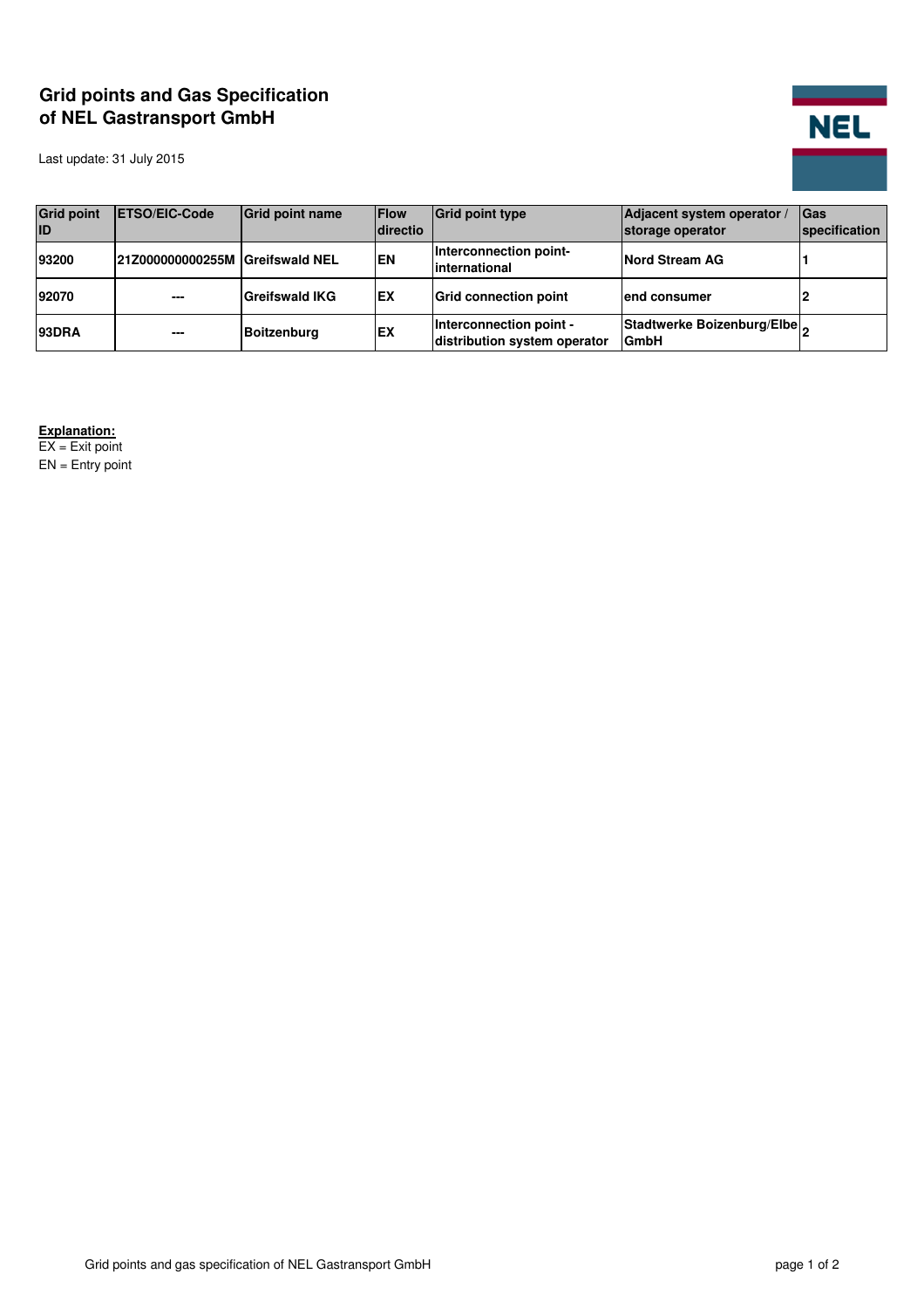## **Grid points and Gas Specification of NEL Gastransport GmbH**

Last update: 31 July 2015



| <b>Grid point</b><br>ID | <b>IETSO/EIC-Code</b>           | Grid point name       | <b>Flow</b><br>directio | <b>Grid point type</b>                                  | Adjacent system operator /<br>storage operator | <b>Cas</b><br>specification |
|-------------------------|---------------------------------|-----------------------|-------------------------|---------------------------------------------------------|------------------------------------------------|-----------------------------|
| 93200                   | 21Z000000000255M Greifswald NEL |                       | <b>EN</b>               | Interconnection point-<br>linternational                | Nord Stream AG                                 |                             |
| 92070                   | $- - -$                         | <b>Greifswald IKG</b> | <b>EX</b>               | <b>Grid connection point</b>                            | lend consumer                                  |                             |
| <b>93DRA</b>            | $\overline{\phantom{a}}$        | <b>Boitzenburg</b>    | EX                      | Interconnection point -<br>distribution system operator | Stadtwerke Boizenburg/Elbe<br><b>GmbH</b>      |                             |

**Explanation:**

EX = Exit point  $EN =$  Entry point